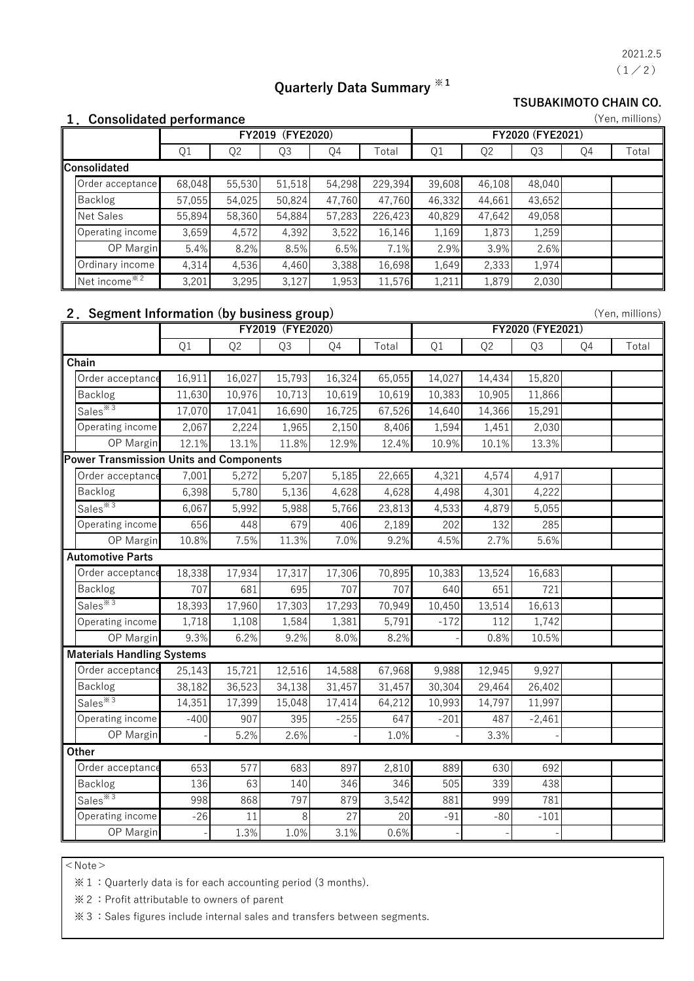$(1/2)$ 2021.2.5

(Yen, millions)

(Yen, millions)

# **Quarterly Data Summary ※1**

**TSUBAKIMOTO CHAIN CO.**

#### **1.Consolidated performance**

|                     |        | (FYE2020)<br>FY2019 |        |        |         |        | FY2020 (FYE2021) |        |    |       |  |  |
|---------------------|--------|---------------------|--------|--------|---------|--------|------------------|--------|----|-------|--|--|
|                     | Q1     | Q <sub>2</sub>      | Q3     | Q4     | Total   | Q1     | Q <sub>2</sub>   | Q3     | Q4 | Total |  |  |
| <b>Consolidated</b> |        |                     |        |        |         |        |                  |        |    |       |  |  |
| Order acceptance    | 68,048 | 55,530              | 51,518 | 54,298 | 229,394 | 39,608 | 46,108           | 48,040 |    |       |  |  |
| Backlog             | 57,055 | 54,025              | 50,824 | 47,760 | 47,760  | 46,332 | 44,661           | 43,652 |    |       |  |  |
| Net Sales           | 55,894 | 58,360              | 54,884 | 57,283 | 226,423 | 40,829 | 47,642           | 49,058 |    |       |  |  |
| Operating income    | 3,659  | 4,572               | 4,392  | 3,522  | 16,146  | 1,169  | 1,873            | 1,259  |    |       |  |  |
| <b>OP</b> Margin    | 5.4%   | 8.2%                | 8.5%   | 6.5%   | 7.1%    | 2.9%   | 3.9%             | 2.6%   |    |       |  |  |
| Ordinary income     | 4,314  | 4,536               | 4,460  | 3,388  | 16,698  | 1,649  | 2,333            | 1,974  |    |       |  |  |
| Net income $*^{2}$  | 3,201  | 3,295               | 3,127  | 1,953  | 11,576  | 1,211  | 1,879            | 2,030  |    |       |  |  |

### **2.Segment Information (by business group)**

|                                         |        | FY2019 (FYE2020) | FY2020 (FYE2021) |                 |        |        |                |          |    |       |
|-----------------------------------------|--------|------------------|------------------|-----------------|--------|--------|----------------|----------|----|-------|
|                                         | Q1     | Q <sub>2</sub>   | Q3               | Q4              | Total  | Q1     | Q <sub>2</sub> | Q3       | Q4 | Total |
| Chain                                   |        |                  |                  |                 |        |        |                |          |    |       |
| Order acceptance                        | 16,911 | 16,027           | 15,793           | 16,324          | 65,055 | 14,027 | 14,434         | 15,820   |    |       |
| Backlog                                 | 11,630 | 10,976           | 10,713           | 10,619          | 10,619 | 10,383 | 10,905         | 11,866   |    |       |
| Sales $*3$                              | 17,070 | 17,041           | 16,690           | 16,725          | 67,526 | 14,640 | 14,366         | 15,291   |    |       |
| Operating income                        | 2,067  | 2,224            | 1,965            | 2,150           | 8,406  | 1,594  | 1,451          | 2,030    |    |       |
| OP Margin                               | 12.1%  | 13.1%            | 11.8%            | 12.9%           | 12.4%  | 10.9%  | 10.1%          | 13.3%    |    |       |
| Power Transmission Units and Components |        |                  |                  |                 |        |        |                |          |    |       |
| Order acceptance                        | 7,001  | 5,272            | 5,207            | 5,185           | 22,665 | 4,321  | 4,574          | 4,917    |    |       |
| Backlog                                 | 6,398  | 5,780            | 5,136            | 4,628           | 4,628  | 4,498  | 4,301          | 4,222    |    |       |
| Sales <sup>*3</sup>                     | 6,067  | 5,992            | 5,988            | 5,766           | 23,813 | 4,533  | 4,879          | 5,055    |    |       |
| Operating income                        | 656    | 448              | 679              | 406             | 2,189  | 202    | 132            | 285      |    |       |
| OP Margin                               | 10.8%  | 7.5%             | 11.3%            | 7.0%            | 9.2%   | 4.5%   | 2.7%           | 5.6%     |    |       |
| <b>Automotive Parts</b>                 |        |                  |                  |                 |        |        |                |          |    |       |
| Order acceptance                        | 18,338 | 17,934           | 17,317           | 17,306          | 70,895 | 10,383 | 13,524         | 16,683   |    |       |
| Backlog                                 | 707    | 681              | 695              | 707             | 707    | 640    | 651            | 721      |    |       |
| Sales $*3$                              | 18,393 | 17,960           | 17,303           | 17,293          | 70,949 | 10,450 | 13,514         | 16,613   |    |       |
| Operating income                        | 1,718  | 1,108            | 1,584            | 1,381           | 5,791  | $-172$ | 112            | 1,742    |    |       |
| OP Margin                               | 9.3%   | 6.2%             | 9.2%             | 8.0%            | 8.2%   |        | 0.8%           | 10.5%    |    |       |
| <b>Materials Handling Systems</b>       |        |                  |                  |                 |        |        |                |          |    |       |
| Order acceptance                        | 25,143 | 15,721           | 12,516           | 14,588          | 67,968 | 9,988  | 12,945         | 9,927    |    |       |
| Backlog                                 | 38,182 | 36,523           | 34,138           | 31,457          | 31,457 | 30,304 | 29,464         | 26,402   |    |       |
| Sales <sup>*3</sup>                     | 14,351 | 17,399           | 15,048           | 17,414          | 64,212 | 10,993 | 14,797         | 11,997   |    |       |
| Operating income                        | $-400$ | 907              | 395              | $-255$          | 647    | $-201$ | 487            | $-2,461$ |    |       |
| OP Margin                               |        | 5.2%             | 2.6%             |                 | 1.0%   |        | 3.3%           |          |    |       |
| Other                                   |        |                  |                  |                 |        |        |                |          |    |       |
| Order acceptance                        | 653    | 577              | 683              | 897             | 2,810  | 889    | 630            | 692      |    |       |
| Backlog                                 | 136    | 63               | 140              | 346             | 346    | 505    | 339            | 438      |    |       |
| Sales <sup>*3</sup>                     | 998    | 868              | 797              | 879             | 3,542  | 881    | 999            | 781      |    |       |
| Operating income                        | $-26$  | 11               | 8                | $\overline{27}$ | 20     | $-91$  | $-80$          | $-101$   |    |       |
| OP Margin                               |        | 1.3%             | 1.0%             | 3.1%            | 0.6%   |        |                |          |    |       |

 $<$  Note  $>$ 

※1:Quarterly data is for each accounting period (3 months).

※2:Profit attributable to owners of parent

※3:Sales figures include internal sales and transfers between segments.